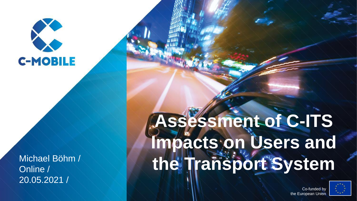

Online / 20.05.2021 /

# **Assessment of C-ITS Impacts on Users and**  Michael Böhm / **the Transport System**



Co-funded by the European Union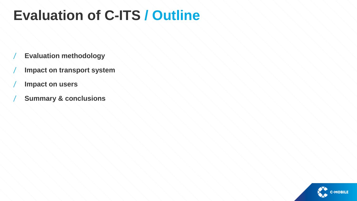## **Evaluation of C-ITS / Outline**

- / **Evaluation methodology**
- / **Impact on transport system**
- / **Impact on users**
- / **Summary & conclusions**

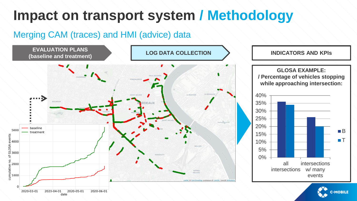## **Impact on transport system / Methodology**

#### Merging CAM (traces) and HMI (advice) data





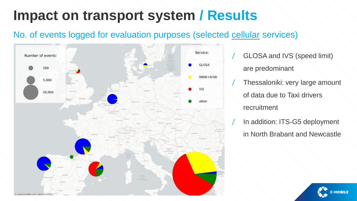#### No. of events logged for evaluation purposes (selected cellular services)



- GLOSA and IVS (speed limit) are predominant
- Thessaloniki: very large amount of data due to Taxi drivers recruitment
- In addition: ITS-G5 deployment in North Brabant and Newcastle

**C-MOBILE**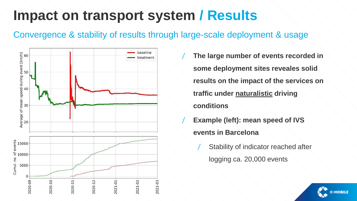#### Convergence & stability of results through large-scale deployment & usage



/ **The large number of events recorded in some deployment sites reveales solid results on the impact of the services on traffic under naturalistic driving conditions**

- / **Example (left): mean speed of IVS events in Barcelona**
	- Stability of indicator reached after logging ca. 20,000 events

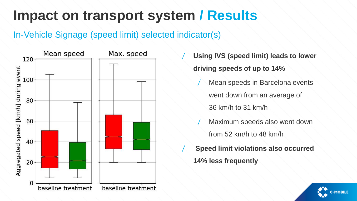#### In-Vehicle Signage (speed limit) selected indicator(s)



- / **Using IVS (speed limit) leads to lower driving speeds of up to 14%**
	- Mean speeds in Barcelona events went down from an average of 36 km/h to 31 km/h
	- Maximum speeds also went down from 52 km/h to 48 km/h
- / **Speed limit violations also occurred 14% less frequently**

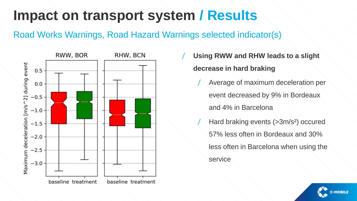Road Works Warnings, Road Hazard Warnings selected indicator(s)



/ **Using RWW and RHW leads to a slight decrease in hard braking**

- / Average of maximum deceleration per event decreased by 9% in Bordeaux and 4% in Barcelona
- Hard braking events (>3m/s<sup>2</sup>) occured 57% less often in Bordeaux and 30% less often in Barcelona when using the service

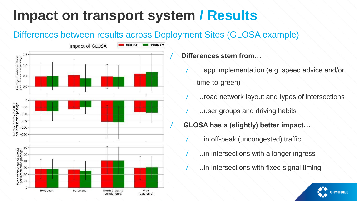## Differences between results across Deployment Sites (GLOSA example)



#### / **Differences stem from…**

- ...app implementation (e.g. speed advice and/or time-to-green)
- ... road network layout and types of intersections
- ... user groups and driving habits
- / **GLOSA has a (slightly) better impact…**
	- ... in off-peak (uncongested) traffic.
	- ... in intersections with a longer ingress
	- ... in intersections with fixed signal timing

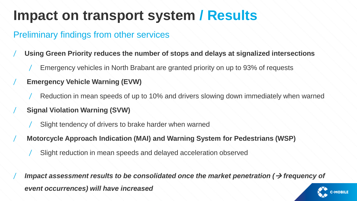#### Preliminary findings from other services

- / **Using Green Priority reduces the number of stops and delays at signalized intersections**
	- Emergency vehicles in North Brabant are granted priority on up to 93% of requests
- / **Emergency Vehicle Warning (EVW)**
	- Reduction in mean speeds of up to 10% and drivers slowing down immediately when warned
	- / **Signal Violation Warning (SVW)**
		- Slight tendency of drivers to brake harder when warned
	- / **Motorcycle Approach Indication (MAI) and Warning System for Pedestrians (WSP)**
		- Slight reduction in mean speeds and delayed acceleration observed

*Impact assessment results to be consolidated once the market penetration (→ frequency of event occurrences) will have increased*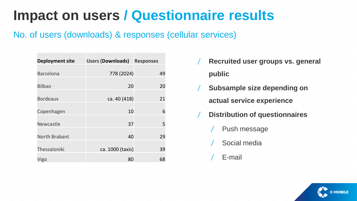#### No. of users (downloads) & responses (cellular services)

| <b>Deployment site</b> | <b>Users (Downloads)</b> | <b>Responses</b> |  |
|------------------------|--------------------------|------------------|--|
| <b>Barcelona</b>       | 778 (2024)               | 49               |  |
| <b>Bilbao</b>          | 20                       | 20               |  |
| <b>Bordeaux</b>        | ca. 40 (418)             | 21               |  |
| Copenhagen             | 10                       | 6                |  |
| Newcastle              | 37                       | 5                |  |
| North Brabant          | 40                       | 29               |  |
| Thessaloniki           | ca. 1000 (taxis)         | 39               |  |
|                        |                          |                  |  |
| Vigo                   | 80                       | 68               |  |

- / **Recruited user groups vs. general public**
- **Subsample size depending on actual service experience**
	- / **Distribution of questionnaires**
		- Push message
		- Social media
		- E-mail

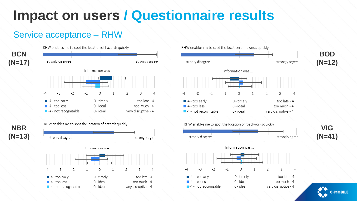#### Service acceptance – RHW



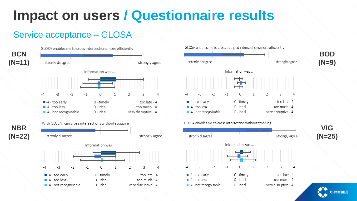#### Service acceptance – GLOSA



GLOSA enables me to cross equiped intersections more efficiently



**C-MOBILE**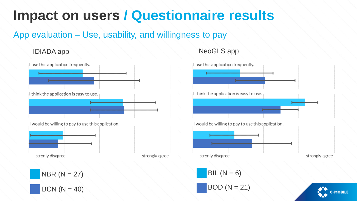#### App evaluation – Use, usability, and willingness to pay



#### IDIADA app NeoGLS app

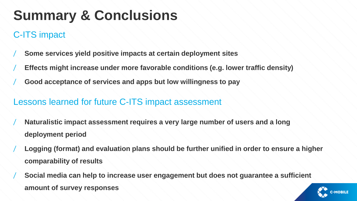## **Summary & Conclusions**

## C-ITS impact

- / **Some services yield positive impacts at certain deployment sites**
- / **Effects might increase under more favorable conditions (e.g. lower traffic density)**
- / **Good acceptance of services and apps but low willingness to pay**

#### Lessons learned for future C-ITS impact assessment

- Naturalistic impact assessment requires a very large number of users and a long **deployment period**
- / **Logging (format) and evaluation plans should be further unified in order to ensure a higher comparability of results**
- / **Social media can help to increase user engagement but does not guarantee a sufficient amount of survey responses**